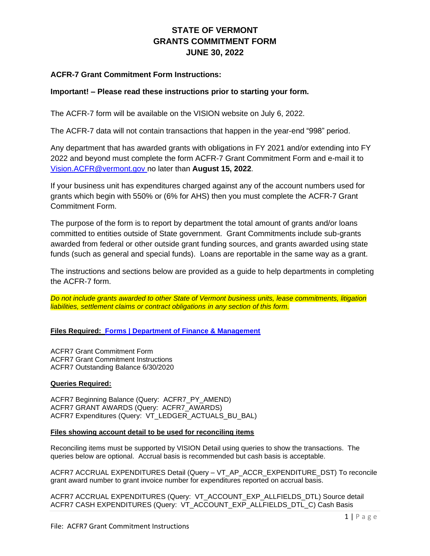# **STATE OF VERMONT GRANTS COMMITMENT FORM JUNE 30, 2022**

# **ACFR-7 Grant Commitment Form Instructions:**

# **Important! – Please read these instructions prior to starting your form.**

The ACFR-7 form will be available on the VISION website on July 6, 2022.

The ACFR-7 data will not contain transactions that happen in the year-end "998" period.

Any department that has awarded grants with obligations in FY 2021 and/or extending into FY 2022 and beyond must complete the form ACFR-7 Grant Commitment Form and e-mail it to [Vision.ACFR@vermont.gov n](mailto:Vision.Cafr@vermont.gov)o later than **August 15, 2022**.

If your business unit has expenditures charged against any of the account numbers used for grants which begin with 550% or (6% for AHS) then you must complete the ACFR-7 Grant Commitment Form.

The purpose of the form is to report by department the total amount of grants and/or loans committed to entities outside of State government. Grant Commitments include sub-grants awarded from federal or other outside grant funding sources, and grants awarded using state funds (such as general and special funds). Loans are reportable in the same way as a grant.

The instructions and sections below are provided as a guide to help departments in completing the ACFR-7 form.

*Do not include grants awarded to other State of Vermont business units, lease commitments, litigation liabilities, settlement claims or contract obligations in any section of this form.*

**Files Required: [Forms | Department of Finance & Management](http://finance.vermont.gov/forms)**

ACFR7 Grant Commitment Form ACFR7 Grant Commitment Instructions ACFR7 Outstanding Balance 6/30/2020

## **Queries Required:**

ACFR7 Beginning Balance (Query: ACFR7\_PY\_AMEND) ACFR7 GRANT AWARDS (Query: ACFR7\_AWARDS) ACFR7 Expenditures (Query: VT\_LEDGER\_ACTUALS\_BU\_BAL)

#### **Files showing account detail to be used for reconciling items**

Reconciling items must be supported by VISION Detail using queries to show the transactions. The queries below are optional. Accrual basis is recommended but cash basis is acceptable.

ACFR7 ACCRUAL EXPENDITURES Detail (Query – VT\_AP\_ACCR\_EXPENDITURE\_DST) To reconcile grant award number to grant invoice number for expenditures reported on accrual basis.

ACFR7 ACCRUAL EXPENDITURES (Query: VT\_ACCOUNT\_EXP\_ALLFIELDS\_DTL) Source detail ACFR7 CASH EXPENDITURES (Query: VT\_ACCOUNT\_EXP\_ALLFIELDS\_DTL\_C) Cash Basis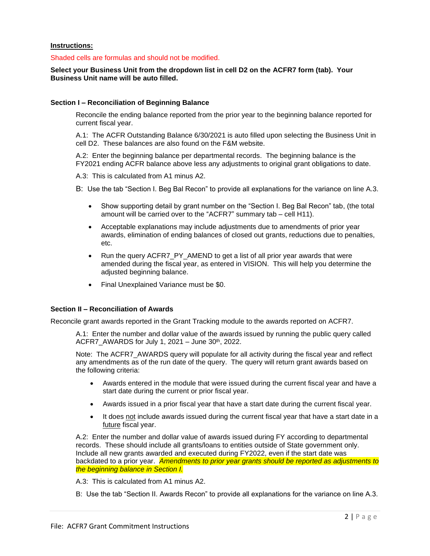#### **Instructions:**

#### Shaded cells are formulas and should not be modified.

## **Select your Business Unit from the dropdown list in cell D2 on the ACFR7 form (tab). Your Business Unit name will be auto filled.**

#### **Section I – Reconciliation of Beginning Balance**

Reconcile the ending balance reported from the prior year to the beginning balance reported for current fiscal year.

A.1: The ACFR Outstanding Balance 6/30/2021 is auto filled upon selecting the Business Unit in cell D2. These balances are also found on the F&M website.

A.2: Enter the beginning balance per departmental records. The beginning balance is the FY2021 ending ACFR balance above less any adjustments to original grant obligations to date.

A.3: This is calculated from A1 minus A2.

B: Use the tab "Section I. Beg Bal Recon" to provide all explanations for the variance on line A.3.

- Show supporting detail by grant number on the "Section I. Beg Bal Recon" tab, (the total amount will be carried over to the "ACFR7" summary tab – cell H11).
- Acceptable explanations may include adjustments due to amendments of prior year awards, elimination of ending balances of closed out grants, reductions due to penalties, etc.
- Run the query ACFR7 PY AMEND to get a list of all prior year awards that were amended during the fiscal year, as entered in VISION. This will help you determine the adjusted beginning balance.
- Final Unexplained Variance must be \$0.

## **Section II – Reconciliation of Awards**

Reconcile grant awards reported in the Grant Tracking module to the awards reported on ACFR7.

A.1: Enter the number and dollar value of the awards issued by running the public query called ACFR7 AWARDS for July 1, 2021 – June  $30<sup>th</sup>$ , 2022.

Note: The ACFR7 AWARDS query will populate for all activity during the fiscal year and reflect any amendments as of the run date of the query. The query will return grant awards based on the following criteria:

- Awards entered in the module that were issued during the current fiscal year and have a start date during the current or prior fiscal year.
- Awards issued in a prior fiscal year that have a start date during the current fiscal year.
- It does not include awards issued during the current fiscal year that have a start date in a future fiscal year.

A.2: Enter the number and dollar value of awards issued during FY according to departmental records. These should include all grants/loans to entities outside of State government only. Include all new grants awarded and executed during FY2022, even if the start date was backdated to a prior year. *Amendments to prior year grants should be reported as adjustments to the beginning balance in Section I.* 

A.3: This is calculated from A1 minus A2.

B: Use the tab "Section II. Awards Recon" to provide all explanations for the variance on line A.3.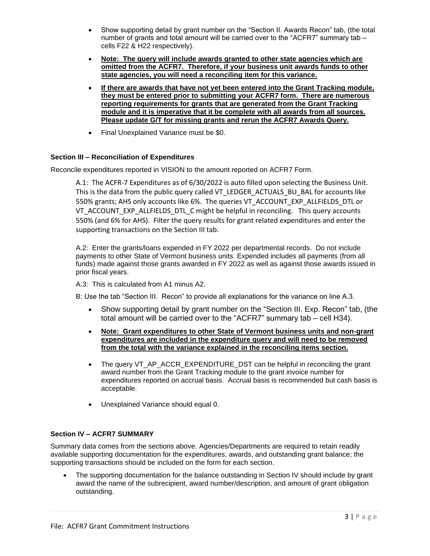- Show supporting detail by grant number on the "Section II. Awards Recon" tab, (the total number of grants and total amount will be carried over to the "ACFR7" summary tab – cells F22 & H22 respectively).
- **Note: The query will include awards granted to other state agencies which are omitted from the ACFR7. Therefore, if your business unit awards funds to other state agencies, you will need a reconciling item for this variance.**
- **If there are awards that have not yet been entered into the Grant Tracking module, they must be entered prior to submitting your ACFR7 form. There are numerous reporting requirements for grants that are generated from the Grant Tracking module and it is imperative that it be complete with all awards from all sources. Please update G/T for missing grants and rerun the ACFR7 Awards Query.**
- Final Unexplained Variance must be \$0.

# **Section III – Reconciliation of Expenditures**

Reconcile expenditures reported in VISION to the amount reported on ACFR7 Form.

A.1: The ACFR-7 Expenditures as of 6/30/2022 is auto filled upon selecting the Business Unit. This is the data from the public query called VT\_LEDGER\_ACTUALS\_BU\_BAL for accounts like 550% grants; AHS only accounts like 6%. The queries VT\_ACCOUNT\_EXP\_ALLFIELDS\_DTL or VT\_ACCOUNT\_EXP\_ALLFIELDS\_DTL\_C might be helpful in reconciling. This query accounts 550% (and 6% for AHS). Filter the query results for grant related expenditures and enter the supporting transactions on the Section III tab.

A.2: Enter the grants/loans expended in FY 2022 per departmental records. Do not include payments to other State of Vermont business units. Expended includes all payments (from all funds) made against those grants awarded in FY 2022 as well as against those awards issued in prior fiscal years.

A.3: This is calculated from A1 minus A2.

B: Use the tab "Section III. Recon" to provide all explanations for the variance on line A.3.

- Show supporting detail by grant number on the "Section III. Exp. Recon" tab, (the total amount will be carried over to the "ACFR7" summary tab – cell H34).
- **Note: Grant expenditures to other State of Vermont business units and non-grant expenditures are included in the expenditure query and will need to be removed from the total with the variance explained in the reconciling items section.**
- The query VT\_AP\_ACCR\_EXPENDITURE\_DST can be helpful in reconciling the grant award number from the Grant Tracking module to the grant invoice number for expenditures reported on accrual basis. Accrual basis is recommended but cash basis is acceptable.
- Unexplained Variance should equal 0.

# **Section IV – ACFR7 SUMMARY**

Summary data comes from the sections above. Agencies/Departments are required to retain readily available supporting documentation for the expenditures, awards, and outstanding grant balance; the supporting transactions should be included on the form for each section.

• The supporting documentation for the balance outstanding in Section IV should include by grant award the name of the subrecipient, award number/description, and amount of grant obligation outstanding.